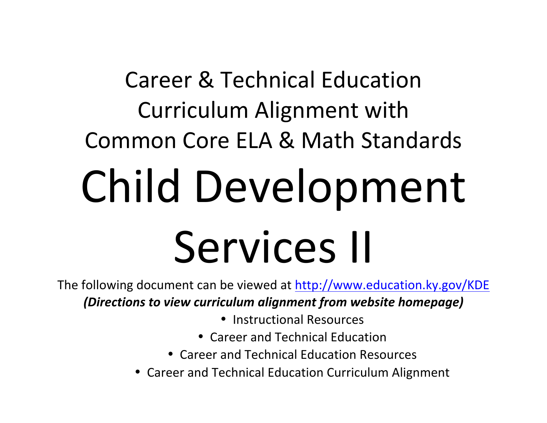# **Career & Technical Education** Curriculum Alignment with Common Core ELA & Math Standards Child Development Services II

The following document can be viewed at http://www.education.ky.gov/KDE (Directions to view curriculum alignment from website homepage)

- Instructional Resources
- Career and Technical Education
- Career and Technical Education Resources
- Career and Technical Education Curriculum Alignment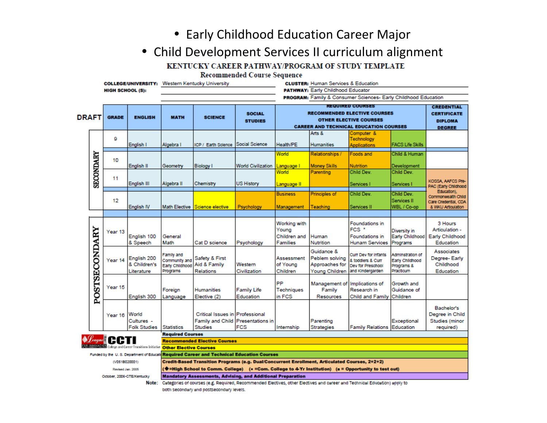• Early Childhood Education Career Major

# • Child Development Services II curriculum alignment

# KENTUCKY CAREER PATHWAY/PROGRAM OF STUDY TEMPLATE

**Recommended Course Sequence** 

|              |                  | <b>COLLEGE/UNIVERSITY:</b> Western Kentucky University        |                                                               |                                                                      |                                                                                                                           |                                 | <b>CLUSTER: Human Services &amp; Education</b> |                      |                                                                |                                 |                                     |
|--------------|------------------|---------------------------------------------------------------|---------------------------------------------------------------|----------------------------------------------------------------------|---------------------------------------------------------------------------------------------------------------------------|---------------------------------|------------------------------------------------|----------------------|----------------------------------------------------------------|---------------------------------|-------------------------------------|
|              |                  | <b>HIGH SCHOOL (S):</b>                                       |                                                               | PATHWAY: Early Childhood Educator                                    |                                                                                                                           |                                 |                                                |                      |                                                                |                                 |                                     |
|              |                  |                                                               |                                                               |                                                                      |                                                                                                                           |                                 |                                                |                      | PROGRAM: Family & Consumer Sciences- Early Childhood Education |                                 |                                     |
|              |                  |                                                               |                                                               |                                                                      |                                                                                                                           |                                 |                                                |                      | <b><i>REQUIRED COURSES</i></b>                                 |                                 | <b>CREDENTIAL</b>                   |
|              |                  |                                                               |                                                               |                                                                      |                                                                                                                           | <b>SOCIAL</b>                   |                                                |                      | <b>RECOMMENDED ELECTIVE COURSES</b>                            |                                 | <b>CERTIFICATE</b>                  |
| <b>DRAFT</b> |                  | <b>GRADE</b>                                                  | <b>ENGLISH</b>                                                | <b>MATH</b>                                                          | <b>SCIENCE</b>                                                                                                            | <b>STUDIES</b>                  |                                                |                      | <b>OTHER ELECTIVE COURSES</b>                                  |                                 | <b>DIPLOMA</b>                      |
|              |                  |                                                               |                                                               |                                                                      |                                                                                                                           |                                 |                                                |                      | <b>CAREER AND TECHNICAL EDUCATION COURSES</b>                  |                                 | <b>DEGREE</b>                       |
|              |                  | 9                                                             | English I                                                     | Algebra I                                                            | ICP / Earth Science                                                                                                       | Social Science                  | Health/PE                                      | Arts &<br>Humanities | Computer &<br>Technology<br><b>Applications</b>                | <b>FACS Life Skills</b>         |                                     |
|              |                  | 10                                                            |                                                               |                                                                      |                                                                                                                           |                                 | World                                          | Relationships /      | Foods and                                                      | Child & Human                   |                                     |
|              | <b>SECONDARY</b> |                                                               | English II                                                    | Geometry                                                             | <b>Biology</b> I                                                                                                          | World Civilization              | Language l                                     | <b>Money Skills</b>  | Nutrition                                                      | Development                     |                                     |
|              |                  |                                                               |                                                               |                                                                      |                                                                                                                           |                                 | World                                          | Parenting            | Child Dev.                                                     | Child Dev.                      |                                     |
|              |                  | 11                                                            | English III                                                   | Algebra II                                                           | <b>Chemistry</b>                                                                                                          | <b>US History</b>               | Language II                                    |                      | Services l                                                     | Services I                      | KOSSA, AAFCS Pre-                   |
|              |                  |                                                               |                                                               |                                                                      |                                                                                                                           |                                 |                                                |                      |                                                                |                                 | PAC (Early Childhood<br>Education). |
|              |                  |                                                               |                                                               |                                                                      |                                                                                                                           |                                 | <b>Business</b>                                | <b>Principles of</b> | Child Dev.                                                     | Child Dev.                      | Commonwealth Child                  |
|              |                  | 12                                                            |                                                               | Math Elective                                                        |                                                                                                                           |                                 |                                                |                      |                                                                | Services II<br>WBL / Co-op      | Care Credential, CDA                |
|              |                  |                                                               | English IV                                                    |                                                                      | Science elective                                                                                                          | Psychology                      | Management                                     | Teaching             | Services II                                                    |                                 | & WKU Articulation                  |
|              |                  |                                                               |                                                               |                                                                      |                                                                                                                           |                                 |                                                |                      |                                                                |                                 |                                     |
|              |                  |                                                               |                                                               |                                                                      |                                                                                                                           |                                 | Working with<br>Young                          |                      | Foundations in<br>FCS <sup>*</sup>                             |                                 | 3 Hours<br>Articulation -           |
|              | POSTSECONDARY    | Year 13                                                       | English 100                                                   | General                                                              |                                                                                                                           |                                 | Children and                                   | Human                | <b>Foundations</b> in                                          | Diversity in<br>Early Childhood | Early Childhood                     |
|              |                  |                                                               | & Speech                                                      | Math                                                                 | Cat D science                                                                                                             | Psychology                      | Families                                       | Nutrition            | <b>Hunam Services</b>                                          | Programs                        | Education                           |
|              |                  |                                                               |                                                               |                                                                      |                                                                                                                           |                                 |                                                | Guidance &           |                                                                |                                 | Associates                          |
|              |                  |                                                               | English 200                                                   | Family and                                                           | Safety & First                                                                                                            |                                 | Assessment                                     | Peblem solving       | <b>Curr Dev for Infants</b>                                    | Adminstration of                | Degree-Early                        |
|              |                  | Year 14                                                       | & Children's                                                  | Community and<br>Early Childhood                                     | Aid & Family                                                                                                              | Western                         | of Young                                       | Approaches for       | & toddlers & Curr<br>Dev for Preschool                         | Early Childhood<br>Programs &   | Childhood                           |
|              |                  |                                                               | Literature                                                    | Programs                                                             | <b>Relations</b>                                                                                                          | Civilization                    | Children                                       | Young Children       | and Kindergarden                                               | Practicum                       | Education                           |
|              |                  |                                                               |                                                               |                                                                      |                                                                                                                           |                                 |                                                |                      |                                                                |                                 |                                     |
|              |                  | Year 15                                                       |                                                               |                                                                      |                                                                                                                           |                                 | PP                                             | Management of        | Implications of                                                | Growth and                      |                                     |
|              |                  |                                                               |                                                               | Foreign                                                              | <b>Humanities</b>                                                                                                         | <b>Family Life</b><br>Education | Techniques<br>in FCS                           | Family               | Research in<br><b>Child and Family</b>                         | Guidance of<br>Children         |                                     |
|              |                  |                                                               | English 300                                                   | Language                                                             | Elective (2)                                                                                                              |                                 |                                                | Resources            |                                                                |                                 |                                     |
|              |                  |                                                               |                                                               |                                                                      |                                                                                                                           |                                 |                                                |                      |                                                                |                                 | Bachelor's                          |
|              |                  | Year 16                                                       | World                                                         |                                                                      | Critical Issues in Professional                                                                                           |                                 |                                                |                      |                                                                |                                 | Degree in Child                     |
|              |                  |                                                               | Cultures -                                                    |                                                                      | <b>Family and Child</b>                                                                                                   | Presentations in                |                                                | Parenting            |                                                                | Exceptional                     | Studies (minor                      |
|              |                  |                                                               | <b>Folk Studies</b>                                           | <b>Statistics</b>                                                    | <b>Studies</b>                                                                                                            | <b>FCS</b>                      | Internship                                     | Strategies           | <b>Family Relations Education</b>                              |                                 | required)                           |
|              |                  | $\bigotimes_{\text{Cayar}}$ $\bigoplus_{\alpha\in\mathbb{Z}}$ |                                                               | <b>Required Courses</b>                                              |                                                                                                                           |                                 |                                                |                      |                                                                |                                 |                                     |
|              |                  |                                                               | <b>CARLBROXATION</b> Cologe and Career Transitions Initiative | <b>Recommended Elective Courses</b><br><b>Other Elective Courses</b> |                                                                                                                           |                                 |                                                |                      |                                                                |                                 |                                     |
|              |                  | Funded by the U.S. Department of Educati                      |                                                               |                                                                      | <b>Required Career and Technical Education Courses</b>                                                                    |                                 |                                                |                      |                                                                |                                 |                                     |
|              |                  | (V051B020001)                                                 |                                                               |                                                                      | Credit-Based Transition Programs (e.g. Dual/Concurrent Enrollment, Articulated Courses, 2+2+2)                            |                                 |                                                |                      |                                                                |                                 |                                     |
|              |                  | Revised Jan. 2005                                             |                                                               |                                                                      | (♦=High School to Comm. College) (• =Com. College to 4-Yr Institution) (■ = Opportunity to test out)                      |                                 |                                                |                      |                                                                |                                 |                                     |
|              |                  | October, 2006-CTE/Kentucky                                    |                                                               |                                                                      | <b>Mandatory Assessments, Advising, and Additional Preparation</b>                                                        |                                 |                                                |                      |                                                                |                                 |                                     |
| Note:        |                  |                                                               |                                                               |                                                                      | Catadorias of courses in d. Danuirad, Dacommandad Flactives, other Flactives and career and Tachnical Education) angly to |                                 |                                                |                      |                                                                |                                 |                                     |

Note: Categories of courses (e.g. Required, Recommended Electives, other Electives and career and Technical Education) apply to both secondary and postsecondary levels.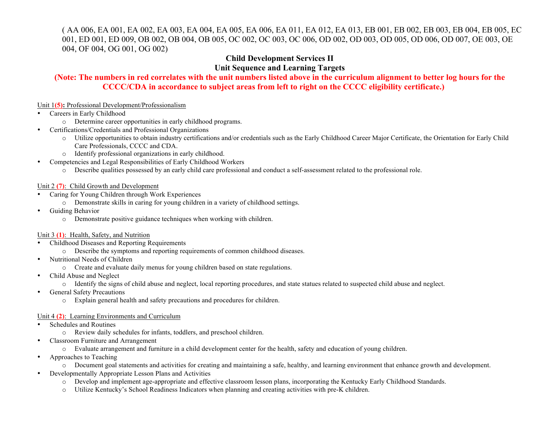(AA 006, EA 001, EA 002, EA 003, EA 004, EA 005, EA 006, EA 011, EA 012, EA 013, EB 001, EB 002, EB 003, EB 004, EB 005, EC 001, ED 001, ED 009, OB 002, OB 004, OB 005, OC 002, OC 003, OC 006, OD 002, OD 003, OD 005, OD 006, OD 007, OE 003, OE 004, OF 004, OG 001, OG 002)

## **Child Development Services II Unit Sequence and Learning Targets**

### (Note: The numbers in red correlates with the unit numbers listed above in the curriculum alignment to better log hours for the **CCCC/CDA** in accordance to subject areas from left to right on the CCCC eligibility certificate.)

#### Unit 1(5): Professional Development/Professionalism

#### Careers in Early Childhood

- o Determine career opportunities in early childhood programs.
- Certifications/Credentials and Professional Organizations  $\bullet$ 
	- o Utilize opportunities to obtain industry certifications and/or credentials such as the Early Childhood Career Major Certificate, the Orientation for Early Child Care Professionals, CCCC and CDA.
	- o Identify professional organizations in early childhood.
- Competencies and Legal Responsibilities of Early Childhood Workers
	- o Describe qualities possessed by an early child care professional and conduct a self-assessment related to the professional role.

#### Unit  $2(7)$ : Child Growth and Development

- Caring for Young Children through Work Experiences
	- o Demonstrate skills in caring for young children in a variety of childhood settings.
- Guiding Behavior
	- o Demonstrate positive guidance techniques when working with children.

#### Unit 3 (1): Health, Safety, and Nutrition

- Childhood Diseases and Reporting Requirements
	- o Describe the symptoms and reporting requirements of common childhood diseases.
- Nutritional Needs of Children
	- o Create and evaluate daily menus for young children based on state regulations.
- Child Abuse and Neglect
	- o Identify the signs of child abuse and neglect, local reporting procedures, and state statues related to suspected child abuse and neglect.
- **General Safety Precautions**  $\bullet$ 
	- o Explain general health and safety precautions and procedures for children.

#### Unit 4 (2): Learning Environments and Curriculum

- Schedules and Routines
	- o Review daily schedules for infants, toddlers, and preschool children.
- Classroom Furniture and Arrangement  $\bullet$ 
	- o Evaluate arrangement and furniture in a child development center for the health, safety and education of young children.
- Approaches to Teaching
	- o Document goal statements and activities for creating and maintaining a safe, healthy, and learning environment that enhance growth and development.
- Developmentally Appropriate Lesson Plans and Activities
	- o Develop and implement age-appropriate and effective classroom lesson plans, incorporating the Kentucky Early Childhood Standards.
	- Utilize Kentucky's School Readiness Indicators when planning and creating activities with pre-K children.  $\circ$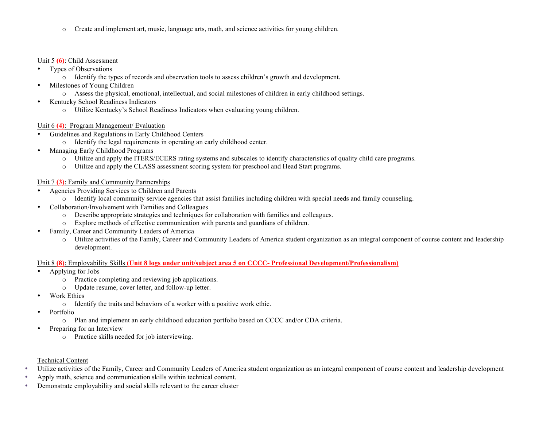Create and implement art, music, language arts, math, and science activities for young children.  $\circ$ 

#### Unit  $5(6)$ : Child Assessment

- Types of Observations
	- o Identify the types of records and observation tools to assess children's growth and development.
- Milestones of Young Children  $\bullet$ 
	- o Assess the physical, emotional, intellectual, and social milestones of children in early childhood settings.
- Kentucky School Readiness Indicators  $\bullet$ 
	- o Utilize Kentucky's School Readiness Indicators when evaluating young children.

#### Unit 6 (4): Program Management/ Evaluation

- Guidelines and Regulations in Early Childhood Centers
	- o Identify the legal requirements in operating an early childhood center.
- Managing Early Childhood Programs  $\bullet$ 
	- o Utilize and apply the ITERS/ECERS rating systems and subscales to identify characteristics of quality child care programs.
	- o Utilize and apply the CLASS assessment scoring system for preschool and Head Start programs.

#### Unit 7 (3): Family and Community Partnerships

- Agencies Providing Services to Children and Parents
	- o Identify local community service agencies that assist families including children with special needs and family counseling.
- Collaboration/Involvement with Families and Colleagues
	- o Describe appropriate strategies and techniques for collaboration with families and colleagues.
	- o Explore methods of effective communication with parents and guardians of children.
- Family, Career and Community Leaders of America
	- o Utilize activities of the Family, Career and Community Leaders of America student organization as an integral component of course content and leadership development.

#### Unit 8 (8): Employability Skills (Unit 8 logs under unit/subject area 5 on CCCC- Professional Development/Professionalism)

- Applying for Jobs
	- o Practice completing and reviewing job applications.
	- o Update resume, cover letter, and follow-up letter.
- **Work Ethics** 
	- o Identify the traits and behaviors of a worker with a positive work ethic.
- Portfolio
	- o Plan and implement an early childhood education portfolio based on CCCC and/or CDA criteria.
- Preparing for an Interview
	- o Practice skills needed for job interviewing.
- **Technical Content**
- Utilize activities of the Family, Career and Community Leaders of America student organization as an integral component of course content and leadership development  $\bullet$
- Apply math, science and communication skills within technical content.  $\bullet$
- $\bullet$ Demonstrate employability and social skills relevant to the career cluster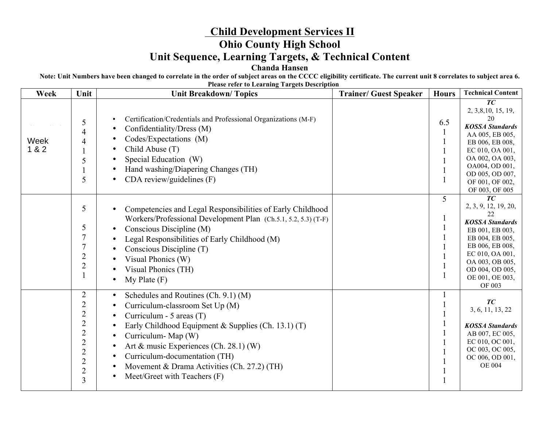# **Child Development Services II Ohio County High School Unit Sequence, Learning Targets, & Technical Content Chanda Hansen**

**Note: Unit Numbers have been changed to correlate in the order of subject areas on the CCCC eligibility certificate. The current unit 8 correlates to subject area 6. Please refer to Learning Targets Description**

| Week          | Unit                                                                                                                                                                | The research to Learning Targets Description<br><b>Unit Breakdown/Topics</b>                                                                                                                                                                                                                                                                            | <b>Trainer/ Guest Speaker</b> | <b>Hours</b> | <b>Technical Content</b>                                                                                                                                                                                         |
|---------------|---------------------------------------------------------------------------------------------------------------------------------------------------------------------|---------------------------------------------------------------------------------------------------------------------------------------------------------------------------------------------------------------------------------------------------------------------------------------------------------------------------------------------------------|-------------------------------|--------------|------------------------------------------------------------------------------------------------------------------------------------------------------------------------------------------------------------------|
| Week<br>1 & 2 | 5<br>4<br>4<br>5<br>5                                                                                                                                               | Certification/Credentials and Professional Organizations (M-F)<br>Confidentiality/Dress (M)<br>Codes/Expectations (M)<br>Child Abuse (T)<br>Special Education (W)<br>Hand washing/Diapering Changes (TH)<br>CDA review/guidelines $(F)$                                                                                                                 |                               | 6.5          | TC<br>2, 3, 8, 10, 15, 19,<br>20<br><b>KOSSA Standards</b><br>AA 005, EB 005,<br>EB 006, EB 008,<br>EC 010, OA 001,<br>OA 002, OA 003,<br>OA004, OD 001,<br>OD 005, OD 007,<br>OF 001, OF 002,<br>OF 003, OF 005 |
|               | 5<br>5<br>$\overline{7}$<br>$\overline{7}$<br>$\overline{2}$<br>$\overline{2}$                                                                                      | Competencies and Legal Responsibilities of Early Childhood<br>Workers/Professional Development Plan (Ch.5.1, 5.2, 5.3) (T-F)<br>Conscious Discipline (M)<br>Legal Responsibilities of Early Childhood (M)<br>Conscious Discipline (T)<br>Visual Phonics (W)<br>Visual Phonics (TH)<br>$My$ Plate $(F)$                                                  |                               | 5            | TC<br>2, 3, 9, 12, 19, 20,<br>22<br><b>KOSSA</b> Standards<br>EB 001, EB 003,<br>EB 004, EB 005,<br>EB 006, EB 008,<br>EC 010, OA 001,<br>OA 003, OB 005,<br>OD 004, OD 005,<br>OE 001, OE 003,<br>OF 003        |
|               | $\overline{2}$<br>$\overline{c}$<br>$\overline{2}$<br>$\overline{2}$<br>$\overline{2}$<br>$\overline{2}$<br>$\overline{c}$<br>$\overline{2}$<br>$\overline{c}$<br>3 | Schedules and Routines (Ch. 9.1) (M)<br>$\bullet$<br>Curriculum-classroom Set Up (M)<br>Curriculum - 5 areas (T)<br>Early Childhood Equipment & Supplies (Ch. 13.1) (T)<br>Curriculum-Map (W)<br>Art & music Experiences (Ch. 28.1) (W)<br>Curriculum-documentation (TH)<br>Movement & Drama Activities (Ch. 27.2) (TH)<br>Meet/Greet with Teachers (F) |                               |              | TC<br>3, 6, 11, 13, 22<br><b>KOSSA Standards</b><br>AB 007, EC 005,<br>EC 010, OC 001,<br>OC 003, OC 005,<br>OC 006, OD 001,<br><b>OE 004</b>                                                                    |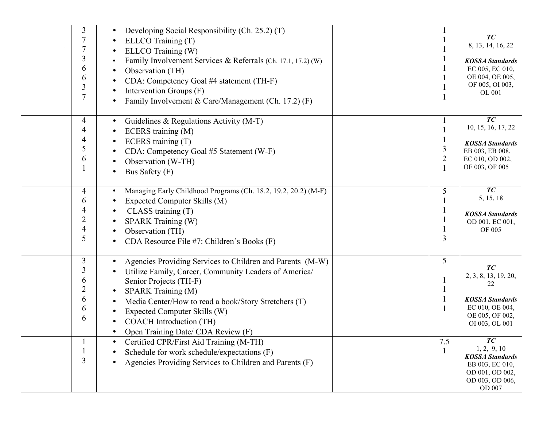| 3<br>3<br>6<br>6<br>3<br>7                   | Developing Social Responsibility (Ch. 25.2) (T)<br>$\bullet$<br>ELLCO Training (T)<br>ELLCO Training (W)<br>Family Involvement Services & Referrals (Ch. 17.1, 17.2) (W)<br>Observation (TH)<br>CDA: Competency Goal #4 statement (TH-F)<br>Intervention Groups (F)<br>Family Involvement & Care/Management (Ch. 17.2) (F)                                   |                     | TC<br>8, 13, 14, 16, 22<br><b>KOSSA</b> Standards<br>EC 005, EC 010,<br>OE 004, OE 005,<br>OF 005, OI 003,<br>OL 001 |
|----------------------------------------------|--------------------------------------------------------------------------------------------------------------------------------------------------------------------------------------------------------------------------------------------------------------------------------------------------------------------------------------------------------------|---------------------|----------------------------------------------------------------------------------------------------------------------|
| 4<br>4<br>4<br>5<br>6                        | Guidelines & Regulations Activity (M-T)<br>$\bullet$<br>ECERS training (M)<br>ECERS training (T)<br>CDA: Competency Goal #5 Statement (W-F)<br>Observation (W-TH)<br>Bus Safety (F)                                                                                                                                                                          | 3<br>$\overline{2}$ | TC<br>10, 15, 16, 17, 22<br><b>KOSSA</b> Standards<br>EB 003, EB 008,<br>EC 010, OD 002,<br>OF 003, OF 005           |
| 4<br>6<br>4<br>2<br>4<br>5                   | Managing Early Childhood Programs (Ch. 18.2, 19.2, 20.2) (M-F)<br>٠<br>Expected Computer Skills (M)<br>$\bullet$<br>CLASS training(T)<br>SPARK Training (W)<br>Observation (TH)<br>CDA Resource File #7: Children's Books (F)                                                                                                                                | 5<br>3              | TC<br>5, 15, 18<br><b>KOSSA</b> Standards<br>OD 001, EC 001,<br>OF 005                                               |
| 3<br>3<br>6<br>$\overline{c}$<br>6<br>6<br>6 | Agencies Providing Services to Children and Parents (M-W)<br>$\bullet$<br>Utilize Family, Career, Community Leaders of America/<br>Senior Projects (TH-F)<br>SPARK Training (M)<br>$\bullet$<br>Media Center/How to read a book/Story Stretchers (T)<br>Expected Computer Skills (W)<br><b>COACH</b> Introduction (TH)<br>Open Training Date/ CDA Review (F) | 5                   | TC<br>2, 3, 8, 13, 19, 20,<br>22<br><b>KOSSA</b> Standards<br>EC 010, OE 004,<br>OE 005, OF 002,<br>OI 003, OL 001   |
| 3                                            | Certified CPR/First Aid Training (M-TH)<br>$\bullet$<br>Schedule for work schedule/expectations (F)<br>Agencies Providing Services to Children and Parents (F)                                                                                                                                                                                               | 7.5                 | TC<br>1, 2, 9, 10<br><b>KOSSA</b> Standards<br>EB 003, EC 010,<br>OD 001, OD 002,<br>OD 003, OD 006,<br>OD 007       |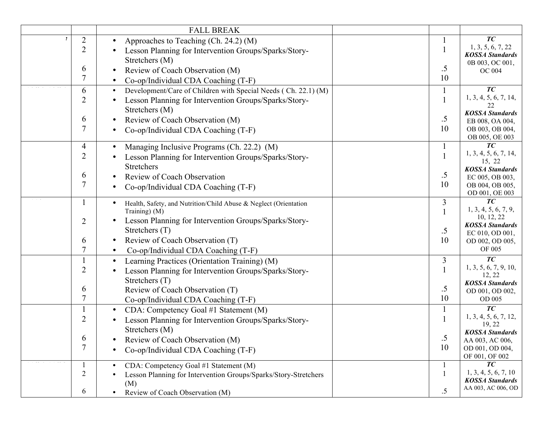|                | <b>FALL BREAK</b>                                                |        |                                              |
|----------------|------------------------------------------------------------------|--------|----------------------------------------------|
| $\overline{2}$ | Approaches to Teaching (Ch. 24.2) (M)                            |        | TC                                           |
| $\overline{2}$ | Lesson Planning for Intervention Groups/Sparks/Story-            |        | 1, 3, 5, 6, 7, 22                            |
|                | Stretchers (M)                                                   |        | <b>KOSSA Standards</b>                       |
| 6              |                                                                  | $.5\,$ | 0B 003, OC 001,                              |
| 7              | Review of Coach Observation (M)                                  | 10     | <b>OC 004</b>                                |
|                | Co-op/Individual CDA Coaching (T-F)                              |        |                                              |
| 6              | Development/Care of Children with Special Needs (Ch. 22.1) (M)   |        | TC                                           |
| $\overline{2}$ | Lesson Planning for Intervention Groups/Sparks/Story-            |        | 1, 3, 4, 5, 6, 7, 14,<br>22                  |
|                | Stretchers (M)                                                   |        | <b>KOSSA Standards</b>                       |
| 6              | Review of Coach Observation (M)                                  | $.5\,$ | EB 008, OA 004,                              |
| 7              | Co-op/Individual CDA Coaching (T-F)                              | 10     | OB 003, OB 004,                              |
|                |                                                                  |        | OB 005, OE 003                               |
| 4              | Managing Inclusive Programs (Ch. 22.2) (M)                       |        | TC                                           |
| $\overline{2}$ | Lesson Planning for Intervention Groups/Sparks/Story-            |        | 1, 3, 4, 5, 6, 7, 14,                        |
|                | Stretchers                                                       |        | 15, 22<br><b>KOSSA</b> Standards             |
| 6              | Review of Coach Observation                                      | $.5\,$ | EC 005, OB 003,                              |
| 7              | Co-op/Individual CDA Coaching (T-F)                              | 10     | OB 004, OB 005,                              |
|                |                                                                  |        | OD 001, OE 003                               |
|                | Health, Safety, and Nutrition/Child Abuse & Neglect (Orientation | 3      | TC                                           |
|                | Training) (M)                                                    |        | 1, 3, 4, 5, 6, 7, 9,                         |
| $\overline{2}$ | Lesson Planning for Intervention Groups/Sparks/Story-            |        | 10, 12, 22                                   |
|                | Stretchers (T)                                                   | $.5\,$ | <b>KOSSA</b> Standards<br>EC 010, OD 001,    |
| 6              | Review of Coach Observation (T)                                  | 10     | OD 002, OD 005,                              |
| 7              | Co-op/Individual CDA Coaching (T-F)                              |        | OF 005                                       |
|                |                                                                  | 3      | TC                                           |
| $\overline{2}$ | Learning Practices (Orientation Training) (M)                    |        | 1, 3, 5, 6, 7, 9, 10,                        |
|                | Lesson Planning for Intervention Groups/Sparks/Story-            |        | 12, 22                                       |
|                | Stretchers (T)                                                   |        | <b>KOSSA</b> Standards                       |
| 6              | Review of Coach Observation (T)                                  | .5     | OD 001, OD 002,                              |
| 7              | Co-op/Individual CDA Coaching (T-F)                              | 10     | OD 005                                       |
|                | CDA: Competency Goal #1 Statement (M)                            |        | TC                                           |
| $\overline{2}$ | Lesson Planning for Intervention Groups/Sparks/Story-            |        | 1, 3, 4, 5, 6, 7, 12,                        |
|                | Stretchers (M)                                                   |        | 19, 22<br><b>KOSSA Standards</b>             |
| 6              | Review of Coach Observation (M)                                  | .5     | AA 003, AC 006,                              |
| 7              | Co-op/Individual CDA Coaching (T-F)                              | 10     | OD 001, OD 004,                              |
|                |                                                                  |        | OF 001, OF 002                               |
|                | CDA: Competency Goal #1 Statement (M)                            |        | TC                                           |
| $\overline{2}$ | Lesson Planning for Intervention Groups/Sparks/Story-Stretchers  |        | 1, 3, 4, 5, 6, 7, 10                         |
|                | (M)                                                              |        | <b>KOSSA</b> Standards<br>AA 003, AC 006, OD |
| 6              | Review of Coach Observation (M)<br>$\bullet$                     | .5     |                                              |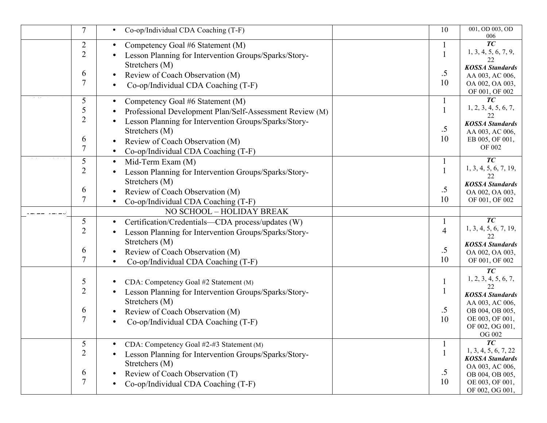| 7                             | Co-op/Individual CDA Coaching (T-F)                                                                                                                                                                                                                                         | 10                         | 001, OD 003, OD<br>006                                                                                                                           |
|-------------------------------|-----------------------------------------------------------------------------------------------------------------------------------------------------------------------------------------------------------------------------------------------------------------------------|----------------------------|--------------------------------------------------------------------------------------------------------------------------------------------------|
| $\overline{2}$<br>2           | Competency Goal #6 Statement (M)<br>$\bullet$<br>Lesson Planning for Intervention Groups/Sparks/Story-                                                                                                                                                                      |                            | $\overline{TC}$<br>1, 3, 4, 5, 6, 7, 9,<br>22                                                                                                    |
| 6<br>7                        | Stretchers (M)<br>Review of Coach Observation (M)<br>Co-op/Individual CDA Coaching (T-F)                                                                                                                                                                                    | $.5\,$<br>10               | <b>KOSSA</b> Standards<br>AA 003, AC 006,<br>OA 002, OA 003,<br>OF 001, OF 002                                                                   |
| 5<br>5<br>2<br>6<br>7         | Competency Goal #6 Statement (M)<br>$\bullet$<br>Professional Development Plan/Self-Assessment Review (M)<br>Lesson Planning for Intervention Groups/Sparks/Story-<br>Stretchers (M)<br>Review of Coach Observation (M)<br>Co-op/Individual CDA Coaching (T-F)<br>$\bullet$ | .5<br>10                   | TC<br>1, 2, 3, 4, 5, 6, 7,<br>22<br><b>KOSSA</b> Standards<br>AA 003, AC 006,<br>EB 005, OF 001,<br>OF 002                                       |
| 5<br>2<br>6<br>7              | Mid-Term Exam (M)<br>$\bullet$<br>Lesson Planning for Intervention Groups/Sparks/Story-<br>Stretchers (M)<br>Review of Coach Observation (M)<br>Co-op/Individual CDA Coaching (T-F)<br>NO SCHOOL - HOLIDAY BREAK                                                            | .5<br>10                   | TC <sub>1</sub><br>1, 3, 4, 5, 6, 7, 19,<br>22<br><b>KOSSA</b> Standards<br>OA 002, OA 003,<br>OF 001, OF 002                                    |
| 5<br>2<br>6<br>7              | Certification/Credentials—CDA process/updates (W)<br>$\bullet$<br>Lesson Planning for Intervention Groups/Sparks/Story-<br>Stretchers (M)<br>Review of Coach Observation (M)<br>Co-op/Individual CDA Coaching (T-F)                                                         | $\overline{4}$<br>.5<br>10 | TC<br>1, 3, 4, 5, 6, 7, 19,<br>22<br><b>KOSSA</b> Standards<br>OA 002, OA 003,<br>OF 001, OF 002                                                 |
| 5<br>$\overline{2}$<br>6<br>7 | CDA: Competency Goal #2 Statement (M)<br>Lesson Planning for Intervention Groups/Sparks/Story-<br>Stretchers (M)<br>Review of Coach Observation (M)<br>Co-op/Individual CDA Coaching (T-F)                                                                                  | $.5\,$<br>10               | TC<br>1, 2, 3, 4, 5, 6, 7,<br>22<br><b>KOSSA</b> Standards<br>AA 003, AC 006,<br>OB 004, OB 005,<br>OE 003, OF 001,<br>OF 002, OG 001,<br>OG 002 |
| 5<br>2<br>6                   | CDA: Competency Goal #2-#3 Statement (M)<br>Lesson Planning for Intervention Groups/Sparks/Story-<br>Stretchers (M)<br>Review of Coach Observation (T)<br>Co-op/Individual CDA Coaching (T-F)                                                                               | $.5\,$<br>10               | TC<br>1, 3, 4, 5, 6, 7, 22<br><b>KOSSA</b> Standards<br>OA 003, AC 006,<br>OB 004, OB 005,<br>OE 003, OF 001,<br>OF 002, OG 001,                 |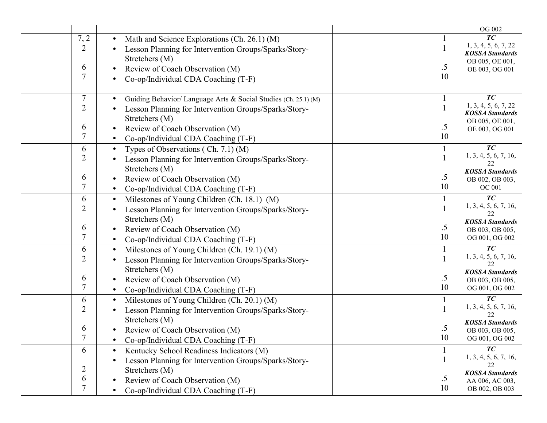|                                                                                                                                                                                                                                                             |              | OG 002                                                                                                       |
|-------------------------------------------------------------------------------------------------------------------------------------------------------------------------------------------------------------------------------------------------------------|--------------|--------------------------------------------------------------------------------------------------------------|
| 7, 2<br>Math and Science Explorations (Ch. 26.1) (M)<br>$\bullet$<br>$\overline{2}$<br>Lesson Planning for Intervention Groups/Sparks/Story-<br>Stretchers (M)<br>6<br>Review of Coach Observation (M)<br>Co-op/Individual CDA Coaching (T-F)               | $.5\,$<br>10 | T <sub>C</sub><br>1, 3, 4, 5, 6, 7, 22<br><b>KOSSA Standards</b><br>OB 005, OE 001,<br>OE 003, OG 001        |
| 7<br>Guiding Behavior/ Language Arts & Social Studies (Ch. 25.1) (M)<br>2<br>Lesson Planning for Intervention Groups/Sparks/Story-<br>Stretchers (M)<br>6<br>Review of Coach Observation (M)<br>Co-op/Individual CDA Coaching (T-F)<br>$\bullet$            | $.5\,$<br>10 | TC<br>1, 3, 4, 5, 6, 7, 22<br><b>KOSSA Standards</b><br>OB 005, OE 001,<br>OE 003, OG 001                    |
| 6<br>Types of Observations $( Ch. 7.1) (M)$<br>$\bullet$<br>2<br>Lesson Planning for Intervention Groups/Sparks/Story-<br>Stretchers (M)<br>6<br>Review of Coach Observation (M)<br>$\bullet$<br>Co-op/Individual CDA Coaching (T-F)<br>$\bullet$           | .5<br>10     | TC<br>1, 3, 4, 5, 6, 7, 16,<br>22<br><b>KOSSA</b> Standards<br>OB 002, OB 003,<br><b>OC 001</b>              |
| Milestones of Young Children (Ch. 18.1) (M)<br>6<br>$\bullet$<br>2<br>Lesson Planning for Intervention Groups/Sparks/Story-<br>Stretchers (M)<br>6<br>Review of Coach Observation (M)<br>$\bullet$<br>7<br>Co-op/Individual CDA Coaching (T-F)              | .5<br>10     | TC<br>1, 3, 4, 5, 6, 7, 16,<br>22<br><b>KOSSA</b> Standards<br>OB 003, OB 005,<br>OG 001, OG 002             |
| Milestones of Young Children (Ch. 19.1) (M)<br>6<br>$\bullet$<br>2<br>Lesson Planning for Intervention Groups/Sparks/Story-<br>Stretchers (M)<br>6<br>Review of Coach Observation (M)<br>$\bullet$<br>7<br>Co-op/Individual CDA Coaching (T-F)<br>$\bullet$ | .5<br>10     | TC<br>1, 3, 4, 5, 6, 7, 16,<br>22<br><b>KOSSA Standards</b><br>OB 003, OB 005,<br>OG 001, OG 002             |
| 6<br>Milestones of Young Children (Ch. 20.1) (M)<br>$\bullet$<br>2<br>Lesson Planning for Intervention Groups/Sparks/Story-<br>Stretchers (M)<br>6<br>Review of Coach Observation (M)<br>7<br>Co-op/Individual CDA Coaching (T-F)                           | .5<br>10     | T <sub>C</sub><br>1, 3, 4, 5, 6, 7, 16,<br>22<br><b>KOSSA Standards</b><br>OB 003, OB 005,<br>OG 001, OG 002 |
| Kentucky School Readiness Indicators (M)<br>6<br>$\bullet$<br>Lesson Planning for Intervention Groups/Sparks/Story-<br>2<br>Stretchers (M)<br>6<br>Review of Coach Observation (M)<br>7<br>Co-op/Individual CDA Coaching (T-F)                              | .5<br>10     | TC<br>1, 3, 4, 5, 6, 7, 16,<br><b>KOSSA</b> Standards<br>AA 006, AC 003,<br>OB 002, OB 003                   |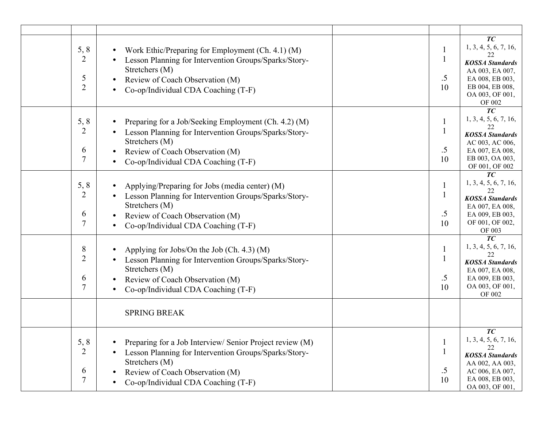| 5, 8<br>Work Ethic/Preparing for Employment (Ch. 4.1) (M)<br>$\overline{2}$<br>Lesson Planning for Intervention Groups/Sparks/Story-<br>Stretchers (M)<br>5<br>Review of Coach Observation (M)<br>$\overline{2}$<br>Co-op/Individual CDA Coaching (T-F)              | $.5\,$<br>10 | TC<br>1, 3, 4, 5, 6, 7, 16,<br><b>KOSSA</b> Standards<br>AA 003, EA 007,<br>EA 008, EB 003,<br>EB 004, EB 008,<br>OA 003, OF 001,<br>OF 002 |
|----------------------------------------------------------------------------------------------------------------------------------------------------------------------------------------------------------------------------------------------------------------------|--------------|---------------------------------------------------------------------------------------------------------------------------------------------|
| 5, 8<br>Preparing for a Job/Seeking Employment (Ch. 4.2) (M)<br>$\overline{2}$<br>Lesson Planning for Intervention Groups/Sparks/Story-<br>Stretchers (M)<br>6<br>Review of Coach Observation (M)<br>7<br>Co-op/Individual CDA Coaching (T-F)                        | $.5\,$<br>10 | TC<br>1, 3, 4, 5, 6, 7, 16,<br>22<br><b>KOSSA</b> Standards<br>AC 003, AC 006,<br>EA 007, EA 008,<br>EB 003, OA 003,<br>OF 001, OF 002      |
| 5, 8<br>Applying/Preparing for Jobs (media center) (M)<br>$\overline{2}$<br>Lesson Planning for Intervention Groups/Sparks/Story-<br>Stretchers (M)<br>6<br>Review of Coach Observation (M)<br>$\overline{7}$<br>Co-op/Individual CDA Coaching (T-F)                 | .5<br>10     | $\overline{TC}$<br>1, 3, 4, 5, 6, 7, 16,<br>22<br><b>KOSSA</b> Standards<br>EA 007, EA 008,<br>EA 009, EB 003,<br>OF 001, OF 002,<br>OF 003 |
| 8<br>Applying for Jobs/On the Job (Ch. 4.3) (M)<br>$\overline{2}$<br>Lesson Planning for Intervention Groups/Sparks/Story-<br>Stretchers (M)<br>6<br>Review of Coach Observation (M)<br>$\overline{7}$<br>Co-op/Individual CDA Coaching (T-F)<br><b>SPRING BREAK</b> | $.5\,$<br>10 | TC<br>1, 3, 4, 5, 6, 7, 16,<br>22<br><b>KOSSA</b> Standards<br>EA 007, EA 008,<br>EA 009, EB 003,<br>OA 003, OF 001,<br><b>OF 002</b>       |
| 5, 8<br>Preparing for a Job Interview/ Senior Project review (M)<br>$\overline{2}$<br>Lesson Planning for Intervention Groups/Sparks/Story-<br>Stretchers (M)<br>6<br>Review of Coach Observation (M)<br>7<br>Co-op/Individual CDA Coaching (T-F)                    | $.5\,$<br>10 | TC<br>1, 3, 4, 5, 6, 7, 16,<br>22<br><b>KOSSA</b> Standards<br>AA 002, AA 003,<br>AC 006, EA 007,<br>EA 008, EB 003,<br>OA 003, OF 001      |